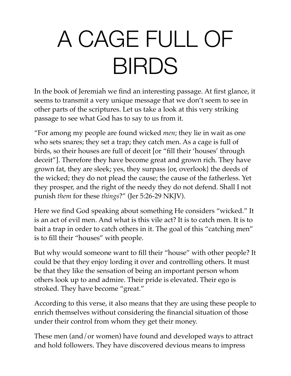# A CAGE FULL OF BIRDS

In the book of Jeremiah we find an interesting passage. At first glance, it seems to transmit a very unique message that we don't seem to see in other parts of the scriptures. Let us take a look at this very striking passage to see what God has to say to us from it.

"For among my people are found wicked *men*; they lie in wait as one who sets snares; they set a trap; they catch men. As a cage is full of birds, so their houses are full of deceit [or "fill their 'houses' through deceit"]. Therefore they have become great and grown rich. They have grown fat, they are sleek; yes, they surpass {or, overlook} the deeds of the wicked; they do not plead the cause; the cause of the fatherless. Yet they prosper, and the right of the needy they do not defend. Shall I not punish *them* for these *things*?" (Jer 5:26-29 NKJV).

Here we find God speaking about something He considers "wicked." It is an act of evil men. And what is this vile act? It is to catch men. It is to bait a trap in order to catch others in it. The goal of this "catching men" is to fill their "houses" with people.

But why would someone want to fill their "house" with other people? It could be that they enjoy lording it over and controlling others. It must be that they like the sensation of being an important person whom others look up to and admire. Their pride is elevated. Their ego is stroked. They have become "great."

According to this verse, it also means that they are using these people to enrich themselves without considering the financial situation of those under their control from whom they get their money.

These men (and/or women) have found and developed ways to attract and hold followers. They have discovered devious means to impress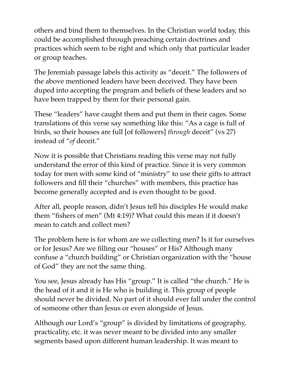others and bind them to themselves. In the Christian world today, this could be accomplished through preaching certain doctrines and practices which seem to be right and which only that particular leader or group teaches.

The Jeremiah passage labels this activity as "deceit." The followers of the above mentioned leaders have been deceived. They have been duped into accepting the program and beliefs of these leaders and so have been trapped by them for their personal gain.

These "leaders" have caught them and put them in their cages. Some translations of this verse say something like this: "As a cage is full of birds, so their houses are full [of followers] *through* deceit" (vs 27) instead of "*of* deceit."

Now it is possible that Christians reading this verse may not fully understand the error of this kind of practice. Since it is very common today for men with some kind of "ministry" to use their gifts to attract followers and fill their "churches" with members, this practice has become generally accepted and is even thought to be good.

After all, people reason, didn't Jesus tell his disciples He would make them "fishers of men" (Mt 4:19)? What could this mean if it doesn't mean to catch and collect men?

The problem here is for whom are we collecting men? Is it for ourselves or for Jesus? Are we filling our "houses" or His? Although many confuse a "church building" or Christian organization with the "house of God" they are not the same thing.

You see, Jesus already has His "group." It is called "the church." He is the head of it and it is He who is building it. This group of people should never be divided. No part of it should ever fall under the control of someone other than Jesus or even alongside of Jesus.

Although our Lord's "group" is divided by limitations of geography, practicality, etc. it was never meant to be divided into any smaller segments based upon different human leadership. It was meant to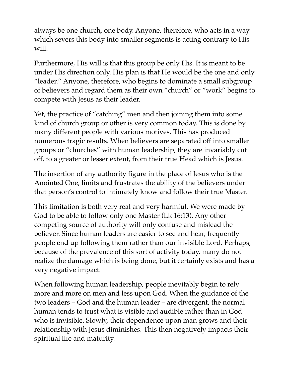always be one church, one body. Anyone, therefore, who acts in a way which severs this body into smaller segments is acting contrary to His will.

Furthermore, His will is that this group be only His. It is meant to be under His direction only. His plan is that He would be the one and only "leader." Anyone, therefore, who begins to dominate a small subgroup of believers and regard them as their own "church" or "work" begins to compete with Jesus as their leader.

Yet, the practice of "catching" men and then joining them into some kind of church group or other is very common today. This is done by many different people with various motives. This has produced numerous tragic results. When believers are separated off into smaller groups or "churches" with human leadership, they are invariably cut off, to a greater or lesser extent, from their true Head which is Jesus.

The insertion of any authority figure in the place of Jesus who is the Anointed One, limits and frustrates the ability of the believers under that person's control to intimately know and follow their true Master.

This limitation is both very real and very harmful. We were made by God to be able to follow only one Master (Lk 16:13). Any other competing source of authority will only confuse and mislead the believer. Since human leaders are easier to see and hear, frequently people end up following them rather than our invisible Lord. Perhaps, because of the prevalence of this sort of activity today, many do not realize the damage which is being done, but it certainly exists and has a very negative impact.

When following human leadership, people inevitably begin to rely more and more on men and less upon God. When the guidance of the two leaders – God and the human leader – are divergent, the normal human tends to trust what is visible and audible rather than in God who is invisible. Slowly, their dependence upon man grows and their relationship with Jesus diminishes. This then negatively impacts their spiritual life and maturity.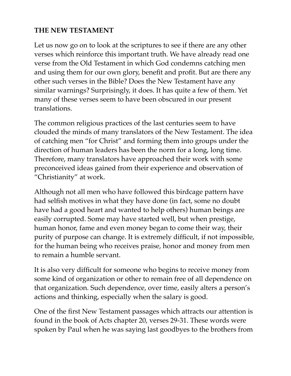#### **THE NEW TESTAMENT**

Let us now go on to look at the scriptures to see if there are any other verses which reinforce this important truth. We have already read one verse from the Old Testament in which God condemns catching men and using them for our own glory, benefit and profit. But are there any other such verses in the Bible? Does the New Testament have any similar warnings? Surprisingly, it does. It has quite a few of them. Yet many of these verses seem to have been obscured in our present translations.

The common religious practices of the last centuries seem to have clouded the minds of many translators of the New Testament. The idea of catching men "for Christ" and forming them into groups under the direction of human leaders has been the norm for a long, long time. Therefore, many translators have approached their work with some preconceived ideas gained from their experience and observation of "Christianity" at work.

Although not all men who have followed this birdcage pattern have had selfish motives in what they have done (in fact, some no doubt have had a good heart and wanted to help others) human beings are easily corrupted. Some may have started well, but when prestige, human honor, fame and even money began to come their way, their purity of purpose can change. It is extremely difficult, if not impossible, for the human being who receives praise, honor and money from men to remain a humble servant.

It is also very difficult for someone who begins to receive money from some kind of organization or other to remain free of all dependence on that organization. Such dependence, over time, easily alters a person's actions and thinking, especially when the salary is good.

One of the first New Testament passages which attracts our attention is found in the book of Acts chapter 20, verses 29-31. These words were spoken by Paul when he was saying last goodbyes to the brothers from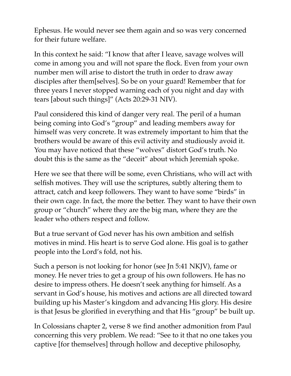Ephesus. He would never see them again and so was very concerned for their future welfare.

In this context he said: "I know that after I leave, savage wolves will come in among you and will not spare the flock. Even from your own number men will arise to distort the truth in order to draw away disciples after them[selves]. So be on your guard! Remember that for three years I never stopped warning each of you night and day with tears [about such things]" (Acts 20:29-31 NIV).

Paul considered this kind of danger very real. The peril of a human being coming into God's "group" and leading members away for himself was very concrete. It was extremely important to him that the brothers would be aware of this evil activity and studiously avoid it. You may have noticed that these "wolves" distort God's truth. No doubt this is the same as the "deceit" about which Jeremiah spoke.

Here we see that there will be some, even Christians, who will act with selfish motives. They will use the scriptures, subtly altering them to attract, catch and keep followers. They want to have some "birds" in their own cage. In fact, the more the better. They want to have their own group or "church" where they are the big man, where they are the leader who others respect and follow.

But a true servant of God never has his own ambition and selfish motives in mind. His heart is to serve God alone. His goal is to gather people into the Lord's fold, not his.

Such a person is not looking for honor (see Jn 5:41 NKJV), fame or money. He never tries to get a group of his own followers. He has no desire to impress others. He doesn't seek anything for himself. As a servant in God's house, his motives and actions are all directed toward building up his Master's kingdom and advancing His glory. His desire is that Jesus be glorified in everything and that His "group" be built up.

In Colossians chapter 2, verse 8 we find another admonition from Paul concerning this very problem. We read: "See to it that no one takes you captive [for themselves] through hollow and deceptive philosophy,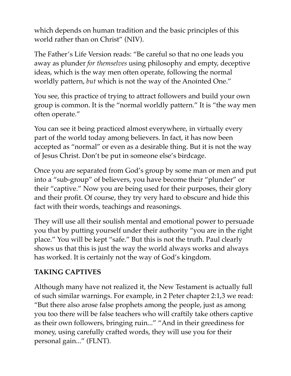which depends on human tradition and the basic principles of this world rather than on Christ" (NIV).

The Father's Life Version reads: "Be careful so that no one leads you away as plunder *for themselves* using philosophy and empty, deceptive ideas, which is the way men often operate, following the normal worldly pattern, *but* which is not the way of the Anointed One."

You see, this practice of trying to attract followers and build your own group is common. It is the "normal worldly pattern." It is "the way men often operate."

You can see it being practiced almost everywhere, in virtually every part of the world today among believers. In fact, it has now been accepted as "normal" or even as a desirable thing. But it is not the way of Jesus Christ. Don't be put in someone else's birdcage.

Once you are separated from God's group by some man or men and put into a "sub-group" of believers, you have become their "plunder" or their "captive." Now you are being used for their purposes, their glory and their profit. Of course, they try very hard to obscure and hide this fact with their words, teachings and reasonings.

They will use all their soulish mental and emotional power to persuade you that by putting yourself under their authority "you are in the right place." You will be kept "safe." But this is not the truth. Paul clearly shows us that this is just the way the world always works and always has worked. It is certainly not the way of God's kingdom.

#### **TAKING CAPTIVES**

Although many have not realized it, the New Testament is actually full of such similar warnings. For example, in 2 Peter chapter 2:1,3 we read: "But there also arose false prophets among the people, just as among you too there will be false teachers who will craftily take others captive as their own followers, bringing ruin..." "And in their greediness for money, using carefully crafted words, they will use you for their personal gain..." (FLNT).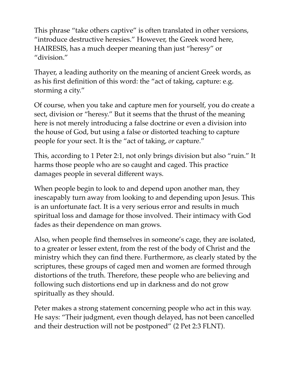This phrase "take others captive" is often translated in other versions, "introduce destructive heresies." However, the Greek word here, HAIRESIS, has a much deeper meaning than just "heresy" or "division."

Thayer, a leading authority on the meaning of ancient Greek words, as as his first definition of this word: the "act of taking, capture: e.g. storming a city."

Of course, when you take and capture men for yourself, you do create a sect, division or "heresy." But it seems that the thrust of the meaning here is not merely introducing a false doctrine or even a division into the house of God, but using a false or distorted teaching to capture people for your sect. It is the "act of taking, *or* capture."

This, according to 1 Peter 2:1, not only brings division but also "ruin." It harms those people who are so caught and caged. This practice damages people in several different ways.

When people begin to look to and depend upon another man, they inescapably turn away from looking to and depending upon Jesus. This is an unfortunate fact. It is a very serious error and results in much spiritual loss and damage for those involved. Their intimacy with God fades as their dependence on man grows.

Also, when people find themselves in someone's cage, they are isolated, to a greater or lesser extent, from the rest of the body of Christ and the ministry which they can find there. Furthermore, as clearly stated by the scriptures, these groups of caged men and women are formed through distortions of the truth. Therefore, these people who are believing and following such distortions end up in darkness and do not grow spiritually as they should.

Peter makes a strong statement concerning people who act in this way. He says: "Their judgment, even though delayed, has not been cancelled and their destruction will not be postponed" (2 Pet 2:3 FLNT).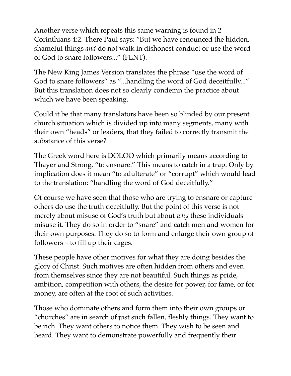Another verse which repeats this same warning is found in 2 Corinthians 4:2. There Paul says: "But we have renounced the hidden, shameful things *and* do not walk in dishonest conduct or use the word of God to snare followers..." (FLNT).

The New King James Version translates the phrase "use the word of God to snare followers" as "...handling the word of God deceitfully..." But this translation does not so clearly condemn the practice about which we have been speaking.

Could it be that many translators have been so blinded by our present church situation which is divided up into many segments, many with their own "heads" or leaders, that they failed to correctly transmit the substance of this verse?

The Greek word here is DOLOO which primarily means according to Thayer and Strong, "to ensnare." This means to catch in a trap. Only by implication does it mean "to adulterate" or "corrupt" which would lead to the translation: "handling the word of God deceitfully."

Of course we have seen that those who are trying to ensnare or capture others do use the truth deceitfully. But the point of this verse is not merely about misuse of God's truth but about *why* these individuals misuse it. They do so in order to "snare" and catch men and women for their own purposes. They do so to form and enlarge their own group of followers – to fill up their cages.

These people have other motives for what they are doing besides the glory of Christ. Such motives are often hidden from others and even from themselves since they are not beautiful. Such things as pride, ambition, competition with others, the desire for power, for fame, or for money, are often at the root of such activities.

Those who dominate others and form them into their own groups or "churches" are in search of just such fallen, fleshly things. They want to be rich. They want others to notice them. They wish to be seen and heard. They want to demonstrate powerfully and frequently their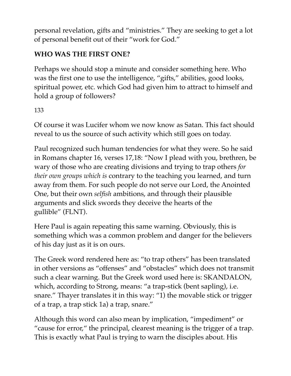personal revelation, gifts and "ministries." They are seeking to get a lot of personal benefit out of their "work for God."

## **WHO WAS THE FIRST ONE?**

Perhaps we should stop a minute and consider something here. Who was the first one to use the intelligence, "gifts," abilities, good looks, spiritual power, etc. which God had given him to attract to himself and hold a group of followers?

## 133

Of course it was Lucifer whom we now know as Satan. This fact should reveal to us the source of such activity which still goes on today.

Paul recognized such human tendencies for what they were. So he said in Romans chapter 16, verses 17,18: "Now I plead with you, brethren, be wary of those who are creating divisions and trying to trap others *for their own groups which is* contrary to the teaching you learned, and turn away from them. For such people do not serve our Lord, the Anointed One, but their own *selfish* ambitions, and through their plausible arguments and slick swords they deceive the hearts of the gullible" (FLNT).

Here Paul is again repeating this same warning. Obviously, this is something which was a common problem and danger for the believers of his day just as it is on ours.

The Greek word rendered here as: "to trap others" has been translated in other versions as "offenses" and "obstacles" which does not transmit such a clear warning. But the Greek word used here is: SKANDALON, which, according to Strong, means: "a trap-stick (bent sapling), i.e. snare." Thayer translates it in this way: "1) the movable stick or trigger of a trap, a trap stick 1a) a trap, snare."

Although this word can also mean by implication, "impediment" or "cause for error," the principal, clearest meaning is the trigger of a trap. This is exactly what Paul is trying to warn the disciples about. His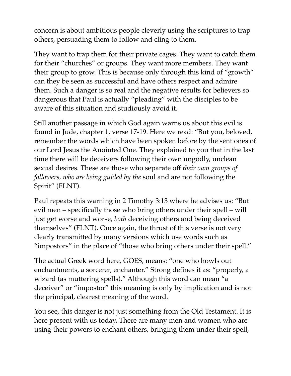concern is about ambitious people cleverly using the scriptures to trap others, persuading them to follow and cling to them.

They want to trap them for their private cages. They want to catch them for their "churches" or groups. They want more members. They want their group to grow. This is because only through this kind of "growth" can they be seen as successful and have others respect and admire them. Such a danger is so real and the negative results for believers so dangerous that Paul is actually "pleading" with the disciples to be aware of this situation and studiously avoid it.

Still another passage in which God again warns us about this evil is found in Jude, chapter 1, verse 17-19. Here we read: "But you, beloved, remember the words which have been spoken before by the sent ones of our Lord Jesus the Anointed One. They explained to you that in the last time there will be deceivers following their own ungodly, unclean sexual desires. These are those who separate off *their own groups of followers, who are being guided by the* soul and are not following the Spirit" (FLNT).

Paul repeats this warning in 2 Timothy 3:13 where he advises us: "But evil men – specifically those who bring others under their spell – will just get worse and worse, *both* deceiving others and being deceived themselves" (FLNT). Once again, the thrust of this verse is not very clearly transmitted by many versions which use words such as "impostors" in the place of "those who bring others under their spell."

The actual Greek word here, GOES, means: "one who howls out enchantments, a sorcerer, enchanter." Strong defines it as: "properly, a wizard (as muttering spells)." Although this word can mean "a deceiver" or "impostor" this meaning is only by implication and is not the principal, clearest meaning of the word.

You see, this danger is not just something from the Old Testament. It is here present with us today. There are many men and women who are using their powers to enchant others, bringing them under their spell,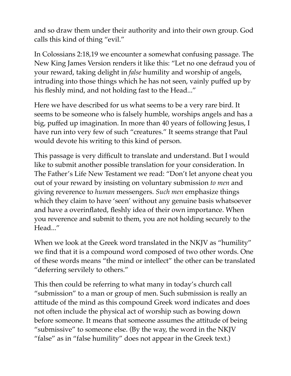and so draw them under their authority and into their own group. God calls this kind of thing "evil."

In Colossians 2:18,19 we encounter a somewhat confusing passage. The New King James Version renders it like this: "Let no one defraud you of your reward, taking delight in *false* humility and worship of angels, intruding into those things which he has not seen, vainly puffed up by his fleshly mind, and not holding fast to the Head..."

Here we have described for us what seems to be a very rare bird. It seems to be someone who is falsely humble, worships angels and has a big, puffed up imagination. In more than 40 years of following Jesus, I have run into very few of such "creatures." It seems strange that Paul would devote his writing to this kind of person.

This passage is very difficult to translate and understand. But I would like to submit another possible translation for your consideration. In The Father's Life New Testament we read: "Don't let anyone cheat you out of your reward by insisting on voluntary submission *to men* and giving reverence to *human* messengers. *Such men* emphasize things which they claim to have 'seen' without any genuine basis whatsoever and have a overinflated, fleshly idea of their own importance. When you reverence and submit to them, you are not holding securely to the Head..."

When we look at the Greek word translated in the NKJV as "humility" we find that it is a compound word composed of two other words. One of these words means "the mind or intellect" the other can be translated "deferring servilely to others."

This then could be referring to what many in today's church call "submission" to a man or group of men. Such submission is really an attitude of the mind as this compound Greek word indicates and does not often include the physical act of worship such as bowing down before someone. It means that someone assumes the attitude of being "submissive" to someone else. (By the way, the word in the NKJV "false" as in "false humility" does not appear in the Greek text.)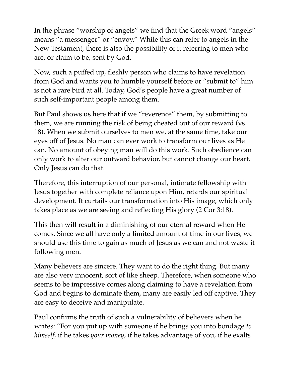In the phrase "worship of angels" we find that the Greek word "angels" means "a messenger" or "envoy." While this can refer to angels in the New Testament, there is also the possibility of it referring to men who are, or claim to be, sent by God.

Now, such a puffed up, fleshly person who claims to have revelation from God and wants you to humble yourself before or "submit to" him is not a rare bird at all. Today, God's people have a great number of such self-important people among them.

But Paul shows us here that if we "reverence" them, by submitting to them, we are running the risk of being cheated out of our reward (vs 18). When we submit ourselves to men we, at the same time, take our eyes off of Jesus. No man can ever work to transform our lives as He can. No amount of obeying man will do this work. Such obedience can only work to alter our outward behavior, but cannot change our heart. Only Jesus can do that.

Therefore, this interruption of our personal, intimate fellowship with Jesus together with complete reliance upon Him, retards our spiritual development. It curtails our transformation into His image, which only takes place as we are seeing and reflecting His glory (2 Cor 3:18).

This then will result in a diminishing of our eternal reward when He comes. Since we all have only a limited amount of time in our lives, we should use this time to gain as much of Jesus as we can and not waste it following men.

Many believers are sincere. They want to do the right thing. But many are also very innocent, sort of like sheep. Therefore, when someone who seems to be impressive comes along claiming to have a revelation from God and begins to dominate them, many are easily led off captive. They are easy to deceive and manipulate.

Paul confirms the truth of such a vulnerability of believers when he writes: "For you put up with someone if he brings you into bondage *to himself*, if he takes *your money*, if he takes advantage of you, if he exalts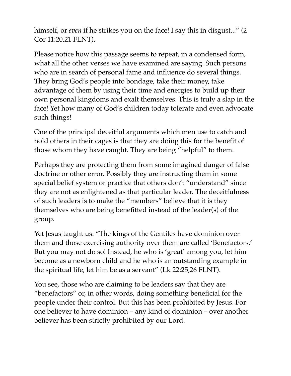himself, or *even* if he strikes you on the face! I say this in disgust..." (2 Cor 11:20,21 FLNT).

Please notice how this passage seems to repeat, in a condensed form, what all the other verses we have examined are saying. Such persons who are in search of personal fame and influence do several things. They bring God's people into bondage, take their money, take advantage of them by using their time and energies to build up their own personal kingdoms and exalt themselves. This is truly a slap in the face! Yet how many of God's children today tolerate and even advocate such things!

One of the principal deceitful arguments which men use to catch and hold others in their cages is that they are doing this for the benefit of those whom they have caught. They are being "helpful" to them.

Perhaps they are protecting them from some imagined danger of false doctrine or other error. Possibly they are instructing them in some special belief system or practice that others don't "understand" since they are not as enlightened as that particular leader. The deceitfulness of such leaders is to make the "members" believe that it is they themselves who are being benefitted instead of the leader(s) of the group.

Yet Jesus taught us: "The kings of the Gentiles have dominion over them and those exercising authority over them are called 'Benefactors.' But you may not do so! Instead, he who is 'great' among you, let him become as a newborn child and he who is an outstanding example in the spiritual life, let him be as a servant" (Lk 22:25,26 FLNT).

You see, those who are claiming to be leaders say that they are "benefactors" or, in other words, doing something beneficial for the people under their control. But this has been prohibited by Jesus. For one believer to have dominion – any kind of dominion – over another believer has been strictly prohibited by our Lord.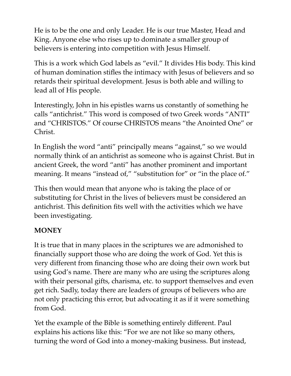He is to be the one and only Leader. He is our true Master, Head and King. Anyone else who rises up to dominate a smaller group of believers is entering into competition with Jesus Himself.

This is a work which God labels as "evil." It divides His body. This kind of human domination stifles the intimacy with Jesus of believers and so retards their spiritual development. Jesus is both able and willing to lead all of His people.

Interestingly, John in his epistles warns us constantly of something he calls "antichrist." This word is composed of two Greek words "ANTI" and "CHRISTOS." Of course CHRISTOS means "the Anointed One" or Christ.

In English the word "anti" principally means "against," so we would normally think of an antichrist as someone who is against Christ. But in ancient Greek, the word "anti" has another prominent and important meaning. It means "instead of," "substitution for" or "in the place of."

This then would mean that anyone who is taking the place of or substituting for Christ in the lives of believers must be considered an antichrist. This definition fits well with the activities which we have been investigating.

#### **MONEY**

It is true that in many places in the scriptures we are admonished to financially support those who are doing the work of God. Yet this is very different from financing those who are doing their own work but using God's name. There are many who are using the scriptures along with their personal gifts, charisma, etc. to support themselves and even get rich. Sadly, today there are leaders of groups of believers who are not only practicing this error, but advocating it as if it were something from God.

Yet the example of the Bible is something entirely different. Paul explains his actions like this: "For we are not like so many others, turning the word of God into a money-making business. But instead,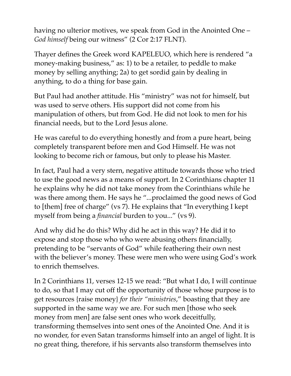having no ulterior motives, we speak from God in the Anointed One – *God himself* being our witness" (2 Cor 2:17 FLNT).

Thayer defines the Greek word KAPELEUO, which here is rendered "a money-making business," as: 1) to be a retailer, to peddle to make money by selling anything; 2a) to get sordid gain by dealing in anything, to do a thing for base gain.

But Paul had another attitude. His "ministry" was not for himself, but was used to serve others. His support did not come from his manipulation of others, but from God. He did not look to men for his financial needs, but to the Lord Jesus alone.

He was careful to do everything honestly and from a pure heart, being completely transparent before men and God Himself. He was not looking to become rich or famous, but only to please his Master.

In fact, Paul had a very stern, negative attitude towards those who tried to use the good news as a means of support. In 2 Corinthians chapter 11 he explains why he did not take money from the Corinthians while he was there among them. He says he "...proclaimed the good news of God to [them] free of charge" (vs 7). He explains that "In everything I kept myself from being a *financial* burden to you..." (vs 9).

And why did he do this? Why did he act in this way? He did it to expose and stop those who who were abusing others financially, pretending to be "servants of God" while feathering their own nest with the believer's money. These were men who were using God's work to enrich themselves.

In 2 Corinthians 11, verses 12-15 we read: "But what I do, I will continue to do, so that I may cut off the opportunity of those whose purpose is to get resources {raise money} *for their "ministries*," boasting that they are supported in the same way we are. For such men [those who seek money from men] are false sent ones who work deceitfully, transforming themselves into sent ones of the Anointed One. And it is no wonder, for even Satan transforms himself into an angel of light. It is no great thing, therefore, if his servants also transform themselves into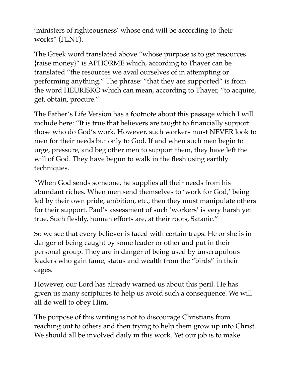'ministers of righteousness' whose end will be according to their works" (FLNT).

The Greek word translated above "whose purpose is to get resources {raise money}" is APHORME which, according to Thayer can be translated "the resources we avail ourselves of in attempting or performing anything." The phrase: "that they are supported" is from the word HEURISKO which can mean, according to Thayer, "to acquire, get, obtain, procure."

The Father's Life Version has a footnote about this passage which I will include here: "It is true that believers are taught to financially support those who do God's work. However, such workers must NEVER look to men for their needs but only to God. If and when such men begin to urge, pressure, and beg other men to support them, they have left the will of God. They have begun to walk in the flesh using earthly techniques.

"When God sends someone, he supplies all their needs from his abundant riches. When men send themselves to 'work for God,' being led by their own pride, ambition, etc., then they must manipulate others for their support. Paul's assessment of such 'workers' is very harsh yet true. Such fleshly, human efforts are, at their roots, Satanic."

So we see that every believer is faced with certain traps. He or she is in danger of being caught by some leader or other and put in their personal group. They are in danger of being used by unscrupulous leaders who gain fame, status and wealth from the "birds" in their cages.

However, our Lord has already warned us about this peril. He has given us many scriptures to help us avoid such a consequence. We will all do well to obey Him.

The purpose of this writing is not to discourage Christians from reaching out to others and then trying to help them grow up into Christ. We should all be involved daily in this work. Yet our job is to make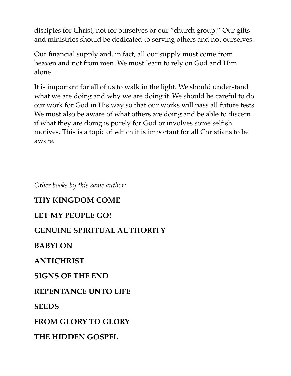disciples for Christ, not for ourselves or our "church group." Our gifts and ministries should be dedicated to serving others and not ourselves.

Our financial supply and, in fact, all our supply must come from heaven and not from men. We must learn to rely on God and Him alone.

It is important for all of us to walk in the light. We should understand what we are doing and why we are doing it. We should be careful to do our work for God in His way so that our works will pass all future tests. We must also be aware of what others are doing and be able to discern if what they are doing is purely for God or involves some selfish motives. This is a topic of which it is important for all Christians to be aware.

*Other books by this same author:* 

# **THY KINGDOM COME**

#### **LET MY PEOPLE GO!**

## **GENUINE SPIRITUAL AUTHORITY**

## **BABYLON**

# **ANTICHRIST**

## **SIGNS OF THE END**

## **REPENTANCE UNTO LIFE**

#### **SEEDS**

**FROM GLORY TO GLORY** 

## **THE HIDDEN GOSPEL**